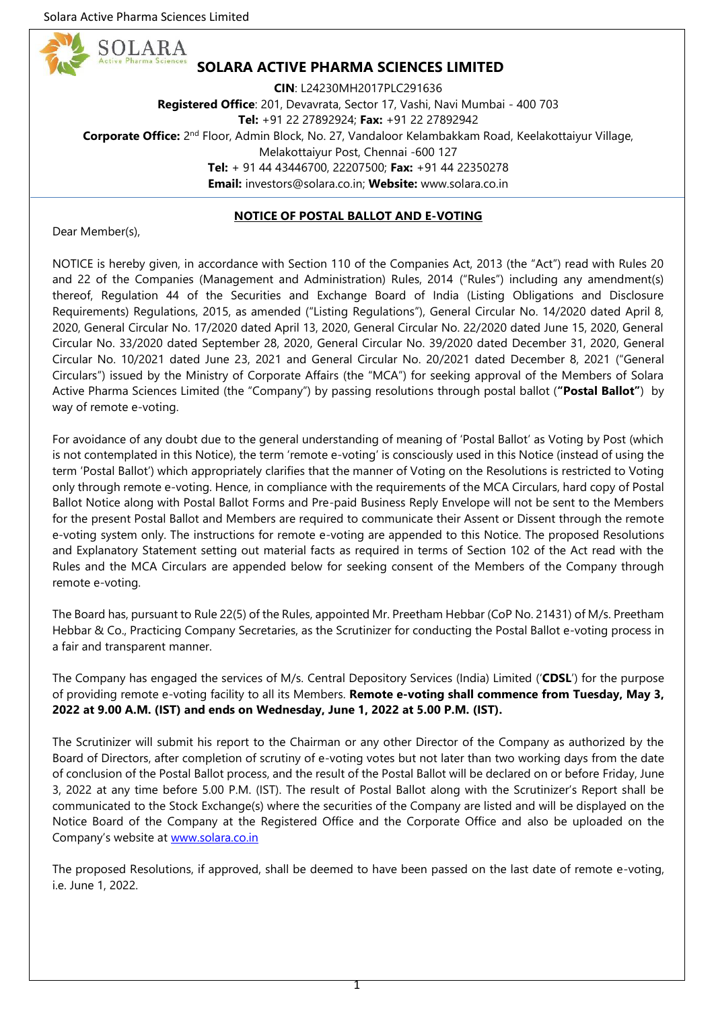SOLARA



**CIN**: L24230MH2017PLC291636 **Registered Office**: 201, Devavrata, Sector 17, Vashi, Navi Mumbai - 400 703 **Tel:** +91 22 27892924; **Fax:** +91 22 27892942 Corporate Office: 2<sup>nd</sup> Floor, Admin Block, No. 27, Vandaloor Kelambakkam Road, Keelakottaiyur Village, Melakottaiyur Post, Chennai -600 127 **Tel:** + 91 44 43446700, 22207500; **Fax:** +91 44 22350278 **Email:** investors@solara.co.in; **Website:** www.solara.co.in

## **NOTICE OF POSTAL BALLOT AND E-VOTING**

Dear Member(s),

NOTICE is hereby given, in accordance with Section 110 of the Companies Act, 2013 (the "Act") read with Rules 20 and 22 of the Companies (Management and Administration) Rules, 2014 ("Rules") including any amendment(s) thereof, Regulation 44 of the Securities and Exchange Board of India (Listing Obligations and Disclosure Requirements) Regulations, 2015, as amended ("Listing Regulations"), General Circular No. 14/2020 dated April 8, 2020, General Circular No. 17/2020 dated April 13, 2020, General Circular No. 22/2020 dated June 15, 2020, General Circular No. 33/2020 dated September 28, 2020, General Circular No. 39/2020 dated December 31, 2020, General Circular No. 10/2021 dated June 23, 2021 and General Circular No. 20/2021 dated December 8, 2021 ("General Circulars") issued by the Ministry of Corporate Affairs (the "MCA") for seeking approval of the Members of Solara Active Pharma Sciences Limited (the "Company") by passing resolutions through postal ballot (**"Postal Ballot"**) by way of remote e-voting.

For avoidance of any doubt due to the general understanding of meaning of 'Postal Ballot' as Voting by Post (which is not contemplated in this Notice), the term 'remote e-voting' is consciously used in this Notice (instead of using the term 'Postal Ballot') which appropriately clarifies that the manner of Voting on the Resolutions is restricted to Voting only through remote e-voting. Hence, in compliance with the requirements of the MCA Circulars, hard copy of Postal Ballot Notice along with Postal Ballot Forms and Pre-paid Business Reply Envelope will not be sent to the Members for the present Postal Ballot and Members are required to communicate their Assent or Dissent through the remote e-voting system only. The instructions for remote e-voting are appended to this Notice. The proposed Resolutions and Explanatory Statement setting out material facts as required in terms of Section 102 of the Act read with the Rules and the MCA Circulars are appended below for seeking consent of the Members of the Company through remote e-voting.

The Board has, pursuant to Rule 22(5) of the Rules, appointed Mr. Preetham Hebbar (CoP No. 21431) of M/s. Preetham Hebbar & Co., Practicing Company Secretaries, as the Scrutinizer for conducting the Postal Ballot e-voting process in a fair and transparent manner.

The Company has engaged the services of M/s. Central Depository Services (India) Limited ('**CDSL**') for the purpose of providing remote e-voting facility to all its Members. **Remote e-voting shall commence from Tuesday, May 3, 2022 at 9.00 A.M. (IST) and ends on Wednesday, June 1, 2022 at 5.00 P.M. (IST).**

The Scrutinizer will submit his report to the Chairman or any other Director of the Company as authorized by the Board of Directors, after completion of scrutiny of e-voting votes but not later than two working days from the date of conclusion of the Postal Ballot process, and the result of the Postal Ballot will be declared on or before Friday, June 3, 2022 at any time before 5.00 P.M. (IST). The result of Postal Ballot along with the Scrutinizer's Report shall be communicated to the Stock Exchange(s) where the securities of the Company are listed and will be displayed on the Notice Board of the Company at the Registered Office and the Corporate Office and also be uploaded on the Company's website at [www.solara.co.in](http://www.solara.co.in/)

The proposed Resolutions, if approved, shall be deemed to have been passed on the last date of remote e-voting, i.e. June 1, 2022.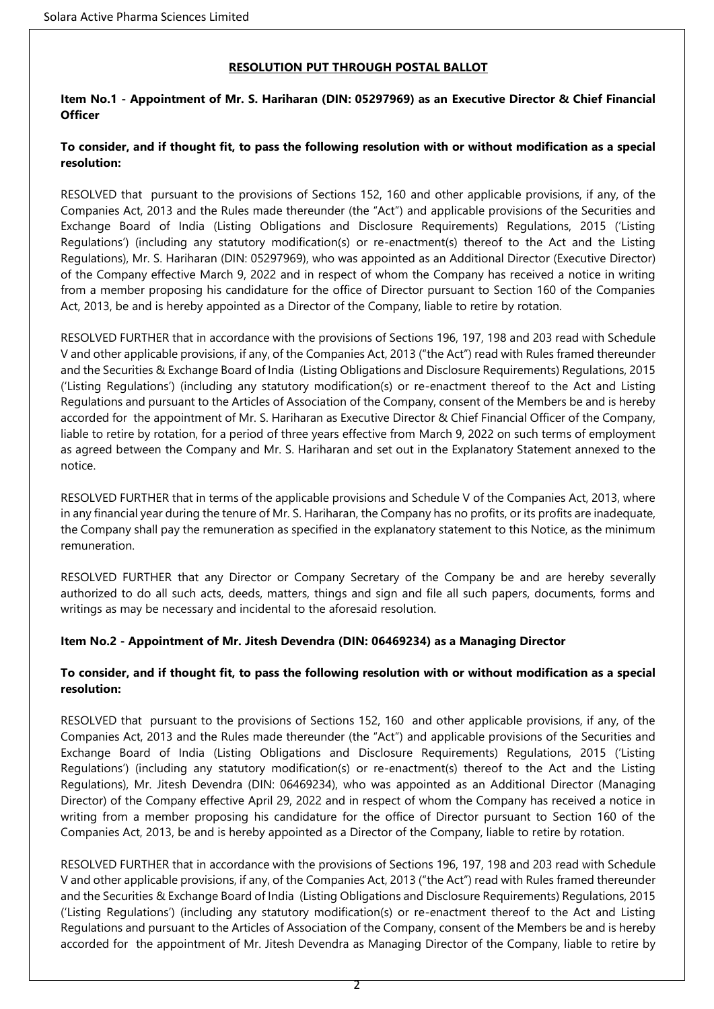## **RESOLUTION PUT THROUGH POSTAL BALLOT**

## **Item No.1 - Appointment of Mr. S. Hariharan (DIN: 05297969) as an Executive Director & Chief Financial Officer**

## **To consider, and if thought fit, to pass the following resolution with or without modification as a special resolution:**

RESOLVED that pursuant to the provisions of Sections 152, 160 and other applicable provisions, if any, of the Companies Act, 2013 and the Rules made thereunder (the "Act") and applicable provisions of the Securities and Exchange Board of India (Listing Obligations and Disclosure Requirements) Regulations, 2015 ('Listing Regulations') (including any statutory modification(s) or re-enactment(s) thereof to the Act and the Listing Regulations), Mr. S. Hariharan (DIN: 05297969), who was appointed as an Additional Director (Executive Director) of the Company effective March 9, 2022 and in respect of whom the Company has received a notice in writing from a member proposing his candidature for the office of Director pursuant to Section 160 of the Companies Act, 2013, be and is hereby appointed as a Director of the Company, liable to retire by rotation.

RESOLVED FURTHER that in accordance with the provisions of Sections 196, 197, 198 and 203 read with Schedule V and other applicable provisions, if any, of the Companies Act, 2013 ("the Act") read with Rules framed thereunder and the Securities & Exchange Board of India (Listing Obligations and Disclosure Requirements) Regulations, 2015 ('Listing Regulations') (including any statutory modification(s) or re-enactment thereof to the Act and Listing Regulations and pursuant to the Articles of Association of the Company, consent of the Members be and is hereby accorded for the appointment of Mr. S. Hariharan as Executive Director & Chief Financial Officer of the Company, liable to retire by rotation, for a period of three years effective from March 9, 2022 on such terms of employment as agreed between the Company and Mr. S. Hariharan and set out in the Explanatory Statement annexed to the notice.

RESOLVED FURTHER that in terms of the applicable provisions and Schedule V of the Companies Act, 2013, where in any financial year during the tenure of Mr. S. Hariharan, the Company has no profits, or its profits are inadequate, the Company shall pay the remuneration as specified in the explanatory statement to this Notice, as the minimum remuneration.

RESOLVED FURTHER that any Director or Company Secretary of the Company be and are hereby severally authorized to do all such acts, deeds, matters, things and sign and file all such papers, documents, forms and writings as may be necessary and incidental to the aforesaid resolution.

## **Item No.2 - Appointment of Mr. Jitesh Devendra (DIN: 06469234) as a Managing Director**

## **To consider, and if thought fit, to pass the following resolution with or without modification as a special resolution:**

RESOLVED that pursuant to the provisions of Sections 152, 160 and other applicable provisions, if any, of the Companies Act, 2013 and the Rules made thereunder (the "Act") and applicable provisions of the Securities and Exchange Board of India (Listing Obligations and Disclosure Requirements) Regulations, 2015 ('Listing Regulations') (including any statutory modification(s) or re-enactment(s) thereof to the Act and the Listing Regulations), Mr. Jitesh Devendra (DIN: 06469234), who was appointed as an Additional Director (Managing Director) of the Company effective April 29, 2022 and in respect of whom the Company has received a notice in writing from a member proposing his candidature for the office of Director pursuant to Section 160 of the Companies Act, 2013, be and is hereby appointed as a Director of the Company, liable to retire by rotation.

RESOLVED FURTHER that in accordance with the provisions of Sections 196, 197, 198 and 203 read with Schedule V and other applicable provisions, if any, of the Companies Act, 2013 ("the Act") read with Rules framed thereunder and the Securities & Exchange Board of India (Listing Obligations and Disclosure Requirements) Regulations, 2015 ('Listing Regulations') (including any statutory modification(s) or re-enactment thereof to the Act and Listing Regulations and pursuant to the Articles of Association of the Company, consent of the Members be and is hereby accorded for the appointment of Mr. Jitesh Devendra as Managing Director of the Company, liable to retire by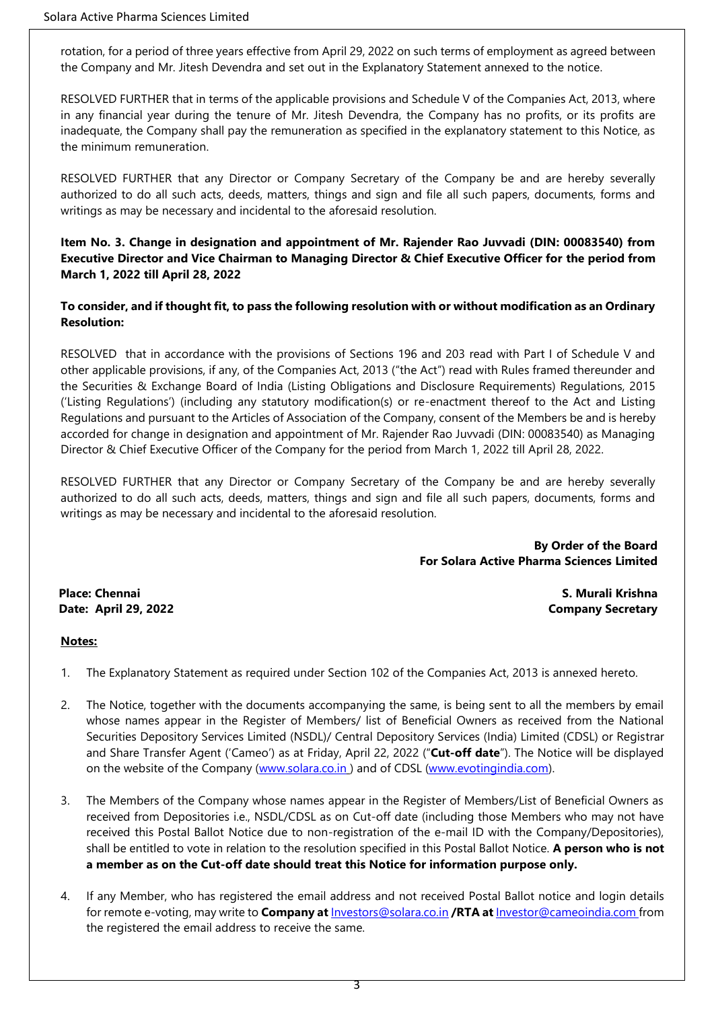rotation, for a period of three years effective from April 29, 2022 on such terms of employment as agreed between the Company and Mr. Jitesh Devendra and set out in the Explanatory Statement annexed to the notice.

RESOLVED FURTHER that in terms of the applicable provisions and Schedule V of the Companies Act, 2013, where in any financial year during the tenure of Mr. Jitesh Devendra, the Company has no profits, or its profits are inadequate, the Company shall pay the remuneration as specified in the explanatory statement to this Notice, as the minimum remuneration.

RESOLVED FURTHER that any Director or Company Secretary of the Company be and are hereby severally authorized to do all such acts, deeds, matters, things and sign and file all such papers, documents, forms and writings as may be necessary and incidental to the aforesaid resolution.

## **Item No. 3. Change in designation and appointment of Mr. Rajender Rao Juvvadi (DIN: 00083540) from Executive Director and Vice Chairman to Managing Director & Chief Executive Officer for the period from March 1, 2022 till April 28, 2022**

## **To consider, and if thought fit, to pass the following resolution with or without modification as an Ordinary Resolution:**

RESOLVED that in accordance with the provisions of Sections 196 and 203 read with Part I of Schedule V and other applicable provisions, if any, of the Companies Act, 2013 ("the Act") read with Rules framed thereunder and the Securities & Exchange Board of India (Listing Obligations and Disclosure Requirements) Regulations, 2015 ('Listing Regulations') (including any statutory modification(s) or re-enactment thereof to the Act and Listing Regulations and pursuant to the Articles of Association of the Company, consent of the Members be and is hereby accorded for change in designation and appointment of Mr. Rajender Rao Juvvadi (DIN: 00083540) as Managing Director & Chief Executive Officer of the Company for the period from March 1, 2022 till April 28, 2022.

RESOLVED FURTHER that any Director or Company Secretary of the Company be and are hereby severally authorized to do all such acts, deeds, matters, things and sign and file all such papers, documents, forms and writings as may be necessary and incidental to the aforesaid resolution.

> **By Order of the Board For Solara Active Pharma Sciences Limited**

**Place: Chennai S. Murali Krishna Date: April 29, 2022 Company Secretary**

### **Notes:**

- 1. The Explanatory Statement as required under Section 102 of the Companies Act, 2013 is annexed hereto.
- 2. The Notice, together with the documents accompanying the same, is being sent to all the members by email whose names appear in the Register of Members/ list of Beneficial Owners as received from the National Securities Depository Services Limited (NSDL)/ Central Depository Services (India) Limited (CDSL) or Registrar and Share Transfer Agent ('Cameo') as at Friday, April 22, 2022 ("**Cut-off date**"). The Notice will be displayed on the website of the Company [\(www.solara.co.in](http://www.solara.co.in/) ) and of CDSL [\(www.evotingindia.com\)](http://www.evotingindia.com/).
- 3. The Members of the Company whose names appear in the Register of Members/List of Beneficial Owners as received from Depositories i.e., NSDL/CDSL as on Cut-off date (including those Members who may not have received this Postal Ballot Notice due to non-registration of the e-mail ID with the Company/Depositories), shall be entitled to vote in relation to the resolution specified in this Postal Ballot Notice. **A person who is not a member as on the Cut-off date should treat this Notice for information purpose only.**
- 4. If any Member, who has registered the email address and not received Postal Ballot notice and login details for remote e-voting, may write to **Company at** [Investors@solara.co.in](mailto:Investors@solara.co.in) **/RTA at** [Investor@cameoindia.com](mailto:Investor@cameoindia.com) from the registered the email address to receive the same.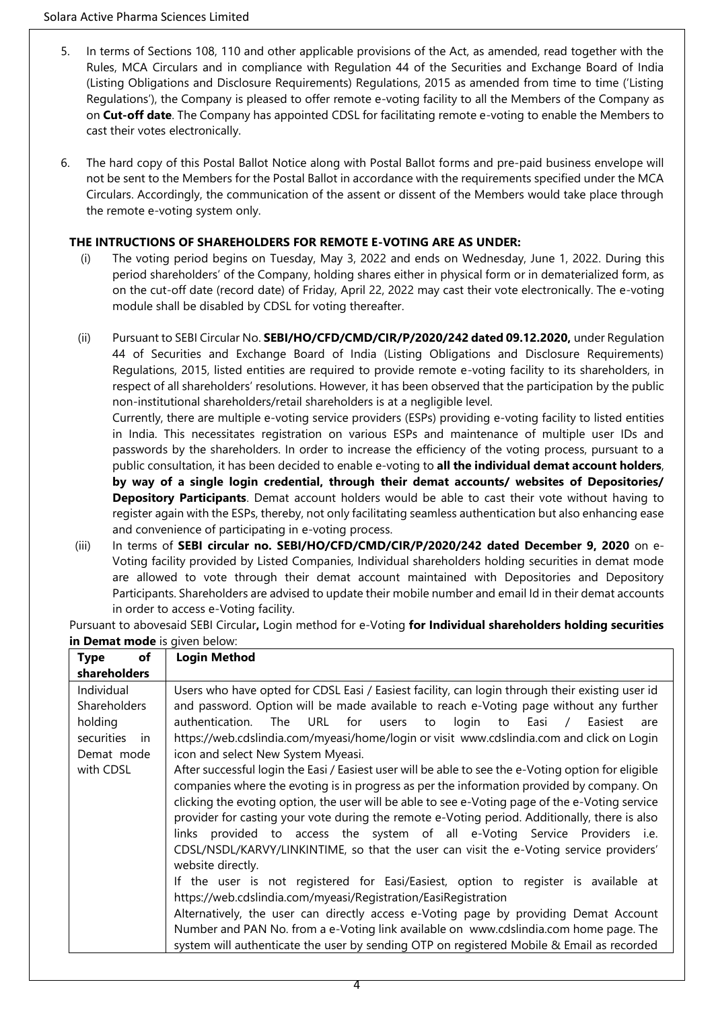- 5. In terms of Sections 108, 110 and other applicable provisions of the Act, as amended, read together with the Rules, MCA Circulars and in compliance with Regulation 44 of the Securities and Exchange Board of India (Listing Obligations and Disclosure Requirements) Regulations, 2015 as amended from time to time ('Listing Regulations'), the Company is pleased to offer remote e-voting facility to all the Members of the Company as on **Cut-off date**. The Company has appointed CDSL for facilitating remote e-voting to enable the Members to cast their votes electronically.
- 6. The hard copy of this Postal Ballot Notice along with Postal Ballot forms and pre-paid business envelope will not be sent to the Members for the Postal Ballot in accordance with the requirements specified under the MCA Circulars. Accordingly, the communication of the assent or dissent of the Members would take place through the remote e-voting system only.

## **THE INTRUCTIONS OF SHAREHOLDERS FOR REMOTE E-VOTING ARE AS UNDER:**

- (i) The voting period begins on Tuesday, May 3, 2022 and ends on Wednesday, June 1, 2022. During this period shareholders' of the Company, holding shares either in physical form or in dematerialized form, as on the cut-off date (record date) of Friday, April 22, 2022 may cast their vote electronically. The e-voting module shall be disabled by CDSL for voting thereafter.
- (ii) Pursuant to SEBI Circular No. **SEBI/HO/CFD/CMD/CIR/P/2020/242 dated 09.12.2020,** under Regulation 44 of Securities and Exchange Board of India (Listing Obligations and Disclosure Requirements) Regulations, 2015, listed entities are required to provide remote e-voting facility to its shareholders, in respect of all shareholders' resolutions. However, it has been observed that the participation by the public non-institutional shareholders/retail shareholders is at a negligible level.

Currently, there are multiple e-voting service providers (ESPs) providing e-voting facility to listed entities in India. This necessitates registration on various ESPs and maintenance of multiple user IDs and passwords by the shareholders. In order to increase the efficiency of the voting process, pursuant to a public consultation, it has been decided to enable e-voting to **all the individual demat account holders**, **by way of a single login credential, through their demat accounts/ websites of Depositories/ Depository Participants**. Demat account holders would be able to cast their vote without having to register again with the ESPs, thereby, not only facilitating seamless authentication but also enhancing ease and convenience of participating in e-voting process.

(iii) In terms of **SEBI circular no. SEBI/HO/CFD/CMD/CIR/P/2020/242 dated December 9, 2020** on e-Voting facility provided by Listed Companies, Individual shareholders holding securities in demat mode are allowed to vote through their demat account maintained with Depositories and Depository Participants. Shareholders are advised to update their mobile number and email Id in their demat accounts in order to access e-Voting facility.

Pursuant to abovesaid SEBI Circular**,** Login method for e-Voting **for Individual shareholders holding securities in Demat mode** is given below:

| <b>Type</b><br>of          | <b>Login Method</b>                                                                                                                                                                                                                                                                                                                                                                                                                                                                                                                                                                                                                     |  |  |  |
|----------------------------|-----------------------------------------------------------------------------------------------------------------------------------------------------------------------------------------------------------------------------------------------------------------------------------------------------------------------------------------------------------------------------------------------------------------------------------------------------------------------------------------------------------------------------------------------------------------------------------------------------------------------------------------|--|--|--|
| <b>shareholders</b>        |                                                                                                                                                                                                                                                                                                                                                                                                                                                                                                                                                                                                                                         |  |  |  |
| Individual<br>Shareholders | Users who have opted for CDSL Easi / Easiest facility, can login through their existing user id<br>and password. Option will be made available to reach e-Voting page without any further                                                                                                                                                                                                                                                                                                                                                                                                                                               |  |  |  |
| holding<br>securities in   | authentication. The URL for users<br>login to Easi /<br>to<br>Easiest<br>are<br>https://web.cdslindia.com/myeasi/home/login or visit www.cdslindia.com and click on Login                                                                                                                                                                                                                                                                                                                                                                                                                                                               |  |  |  |
| Demat mode<br>with CDSL    | icon and select New System Myeasi.<br>After successful login the Easi / Easiest user will be able to see the e-Voting option for eligible<br>companies where the evoting is in progress as per the information provided by company. On<br>clicking the evoting option, the user will be able to see e-Voting page of the e-Voting service<br>provider for casting your vote during the remote e-Voting period. Additionally, there is also<br>links provided to access the system of all e-Voting Service Providers i.e.<br>CDSL/NSDL/KARVY/LINKINTIME, so that the user can visit the e-Voting service providers'<br>website directly. |  |  |  |
|                            | If the user is not registered for Easi/Easiest, option to register is available at<br>https://web.cdslindia.com/myeasi/Registration/EasiRegistration<br>Alternatively, the user can directly access e-Voting page by providing Demat Account<br>Number and PAN No. from a e-Voting link available on www.cdslindia.com home page. The                                                                                                                                                                                                                                                                                                   |  |  |  |
|                            | system will authenticate the user by sending OTP on registered Mobile & Email as recorded                                                                                                                                                                                                                                                                                                                                                                                                                                                                                                                                               |  |  |  |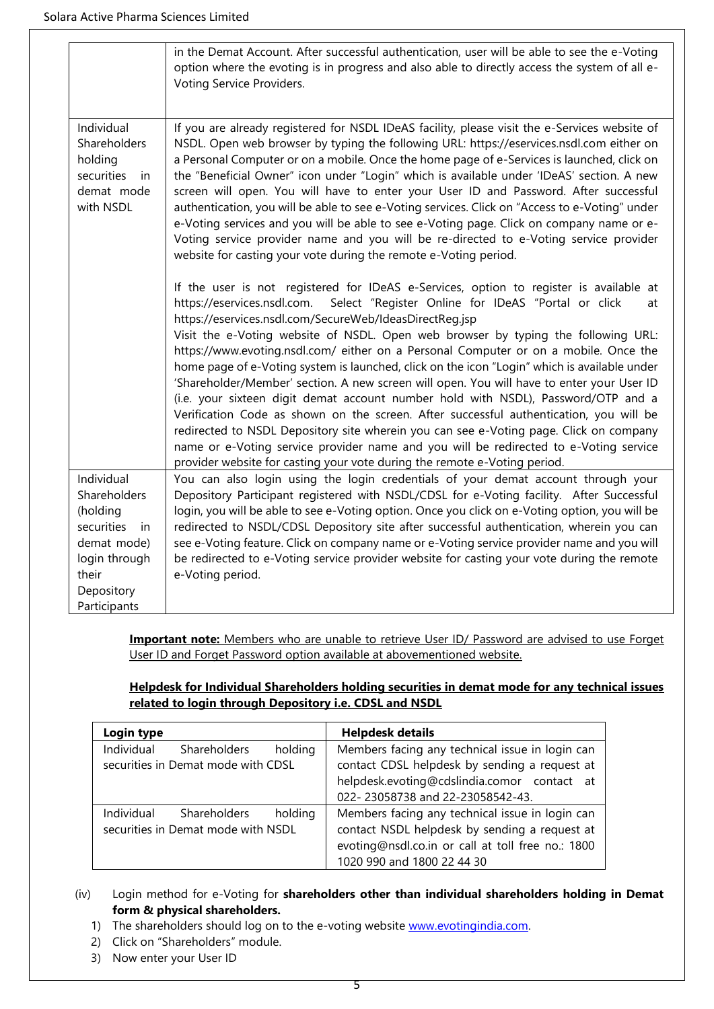|                                                                                                                                          | in the Demat Account. After successful authentication, user will be able to see the e-Voting<br>option where the evoting is in progress and also able to directly access the system of all e-<br>Voting Service Providers.                                                                                                                                                                                                                                                                                                                                                                                                                                                                                                                                                                                                                                                                                                                                                                                                                                            |  |  |
|------------------------------------------------------------------------------------------------------------------------------------------|-----------------------------------------------------------------------------------------------------------------------------------------------------------------------------------------------------------------------------------------------------------------------------------------------------------------------------------------------------------------------------------------------------------------------------------------------------------------------------------------------------------------------------------------------------------------------------------------------------------------------------------------------------------------------------------------------------------------------------------------------------------------------------------------------------------------------------------------------------------------------------------------------------------------------------------------------------------------------------------------------------------------------------------------------------------------------|--|--|
| Individual<br>Shareholders<br>holding<br>securities<br>in<br>demat mode<br>with NSDL                                                     | If you are already registered for NSDL IDeAS facility, please visit the e-Services website of<br>NSDL. Open web browser by typing the following URL: https://eservices.nsdl.com either on<br>a Personal Computer or on a mobile. Once the home page of e-Services is launched, click on<br>the "Beneficial Owner" icon under "Login" which is available under 'IDeAS' section. A new<br>screen will open. You will have to enter your User ID and Password. After successful<br>authentication, you will be able to see e-Voting services. Click on "Access to e-Voting" under<br>e-Voting services and you will be able to see e-Voting page. Click on company name or e-<br>Voting service provider name and you will be re-directed to e-Voting service provider<br>website for casting your vote during the remote e-Voting period.                                                                                                                                                                                                                               |  |  |
|                                                                                                                                          | If the user is not registered for IDeAS e-Services, option to register is available at<br>Select "Register Online for IDeAS "Portal or click<br>https://eservices.nsdl.com.<br>at<br>https://eservices.nsdl.com/SecureWeb/IdeasDirectReg.jsp<br>Visit the e-Voting website of NSDL. Open web browser by typing the following URL:<br>https://www.evoting.nsdl.com/ either on a Personal Computer or on a mobile. Once the<br>home page of e-Voting system is launched, click on the icon "Login" which is available under<br>'Shareholder/Member' section. A new screen will open. You will have to enter your User ID<br>(i.e. your sixteen digit demat account number hold with NSDL), Password/OTP and a<br>Verification Code as shown on the screen. After successful authentication, you will be<br>redirected to NSDL Depository site wherein you can see e-Voting page. Click on company<br>name or e-Voting service provider name and you will be redirected to e-Voting service<br>provider website for casting your vote during the remote e-Voting period. |  |  |
| Individual<br>Shareholders<br>(holding<br>securities<br><i>in</i><br>demat mode)<br>login through<br>their<br>Depository<br>Participants | You can also login using the login credentials of your demat account through your<br>Depository Participant registered with NSDL/CDSL for e-Voting facility. After Successful<br>login, you will be able to see e-Voting option. Once you click on e-Voting option, you will be<br>redirected to NSDL/CDSL Depository site after successful authentication, wherein you can<br>see e-Voting feature. Click on company name or e-Voting service provider name and you will<br>be redirected to e-Voting service provider website for casting your vote during the remote<br>e-Voting period.                                                                                                                                                                                                                                                                                                                                                                                                                                                                           |  |  |

**Important note:** Members who are unable to retrieve User ID/ Password are advised to use Forget User ID and Forget Password option available at abovementioned website.

## **Helpdesk for Individual Shareholders holding securities in demat mode for any technical issues related to login through Depository i.e. CDSL and NSDL**

| Login type                         |              |         | <b>Helpdesk details</b>                           |  |
|------------------------------------|--------------|---------|---------------------------------------------------|--|
| Individual                         | Shareholders | holding | Members facing any technical issue in login can   |  |
| securities in Demat mode with CDSL |              |         | contact CDSL helpdesk by sending a request at     |  |
|                                    |              |         | helpdesk.evoting@cdslindia.comor contact at       |  |
|                                    |              |         | 022-23058738 and 22-23058542-43.                  |  |
| Individual                         | Shareholders | holding | Members facing any technical issue in login can   |  |
| securities in Demat mode with NSDL |              |         | contact NSDL helpdesk by sending a request at     |  |
|                                    |              |         | evoting@nsdl.co.in or call at toll free no.: 1800 |  |
|                                    |              |         | 1020 990 and 1800 22 44 30                        |  |

- (iv) Login method for e-Voting for **shareholders other than individual shareholders holding in Demat form & physical shareholders.**
	- 1) The shareholders should log on to the e-voting website [www.evotingindia.com.](http://www.evotingindia.com/)
	- 2) Click on "Shareholders" module.
	- 3) Now enter your User ID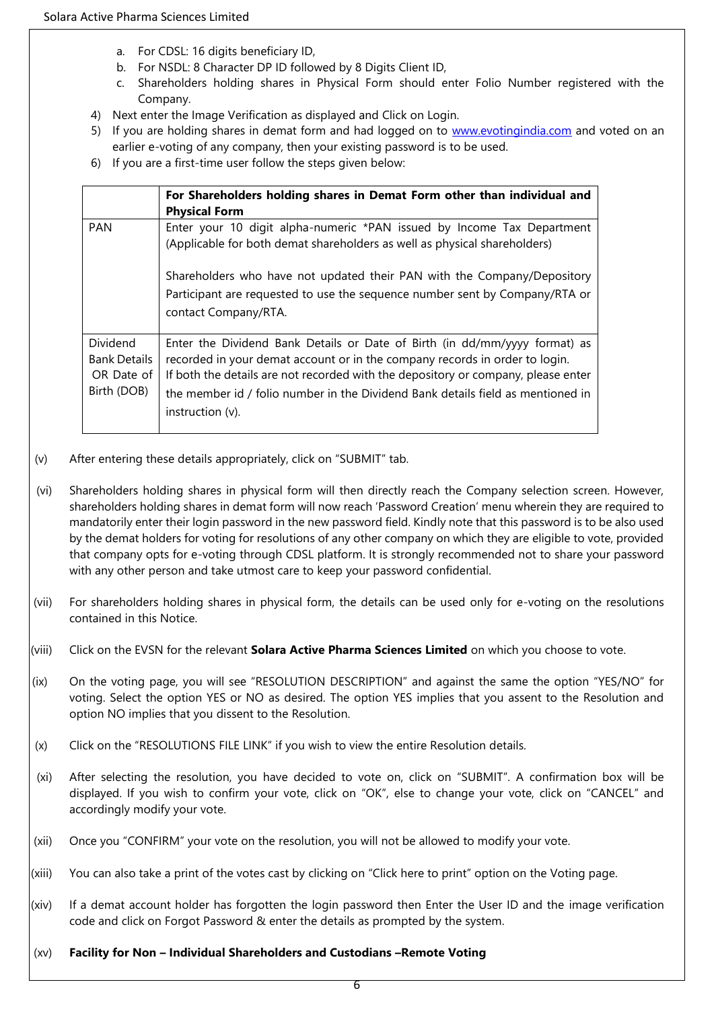- a. For CDSL: 16 digits beneficiary ID,
- b. For NSDL: 8 Character DP ID followed by 8 Digits Client ID,
- c. Shareholders holding shares in Physical Form should enter Folio Number registered with the Company.
- 4) Next enter the Image Verification as displayed and Click on Login.
- 5) If you are holding shares in demat form and had logged on to [www.evotingindia.com](http://www.evotingindia.com/) and voted on an earlier e-voting of any company, then your existing password is to be used.
- 6) If you are a first-time user follow the steps given below:

|                                                              | For Shareholders holding shares in Demat Form other than individual and<br><b>Physical Form</b>                                                                                                                                                                                                                                                       |
|--------------------------------------------------------------|-------------------------------------------------------------------------------------------------------------------------------------------------------------------------------------------------------------------------------------------------------------------------------------------------------------------------------------------------------|
| <b>PAN</b>                                                   | Enter your 10 digit alpha-numeric *PAN issued by Income Tax Department<br>(Applicable for both demat shareholders as well as physical shareholders)                                                                                                                                                                                                   |
|                                                              | Shareholders who have not updated their PAN with the Company/Depository<br>Participant are requested to use the sequence number sent by Company/RTA or<br>contact Company/RTA.                                                                                                                                                                        |
| Dividend<br><b>Bank Details</b><br>OR Date of<br>Birth (DOB) | Enter the Dividend Bank Details or Date of Birth (in dd/mm/yyyy format) as<br>recorded in your demat account or in the company records in order to login.<br>If both the details are not recorded with the depository or company, please enter<br>the member id / folio number in the Dividend Bank details field as mentioned in<br>instruction (v). |

- (v) After entering these details appropriately, click on "SUBMIT" tab.
- (vi) Shareholders holding shares in physical form will then directly reach the Company selection screen. However, shareholders holding shares in demat form will now reach 'Password Creation' menu wherein they are required to mandatorily enter their login password in the new password field. Kindly note that this password is to be also used by the demat holders for voting for resolutions of any other company on which they are eligible to vote, provided that company opts for e-voting through CDSL platform. It is strongly recommended not to share your password with any other person and take utmost care to keep your password confidential.
- (vii) For shareholders holding shares in physical form, the details can be used only for e-voting on the resolutions contained in this Notice.
- (viii) Click on the EVSN for the relevant **Solara Active Pharma Sciences Limited** on which you choose to vote.
- (ix) On the voting page, you will see "RESOLUTION DESCRIPTION" and against the same the option "YES/NO" for voting. Select the option YES or NO as desired. The option YES implies that you assent to the Resolution and option NO implies that you dissent to the Resolution.
- (x) Click on the "RESOLUTIONS FILE LINK" if you wish to view the entire Resolution details.
- (xi) After selecting the resolution, you have decided to vote on, click on "SUBMIT". A confirmation box will be displayed. If you wish to confirm your vote, click on "OK", else to change your vote, click on "CANCEL" and accordingly modify your vote.
- (xii) Once you "CONFIRM" your vote on the resolution, you will not be allowed to modify your vote.
- (xiii) You can also take a print of the votes cast by clicking on "Click here to print" option on the Voting page.
- (xiv) If a demat account holder has forgotten the login password then Enter the User ID and the image verification code and click on Forgot Password & enter the details as prompted by the system.
- (xv) **Facility for Non – Individual Shareholders and Custodians –Remote Voting**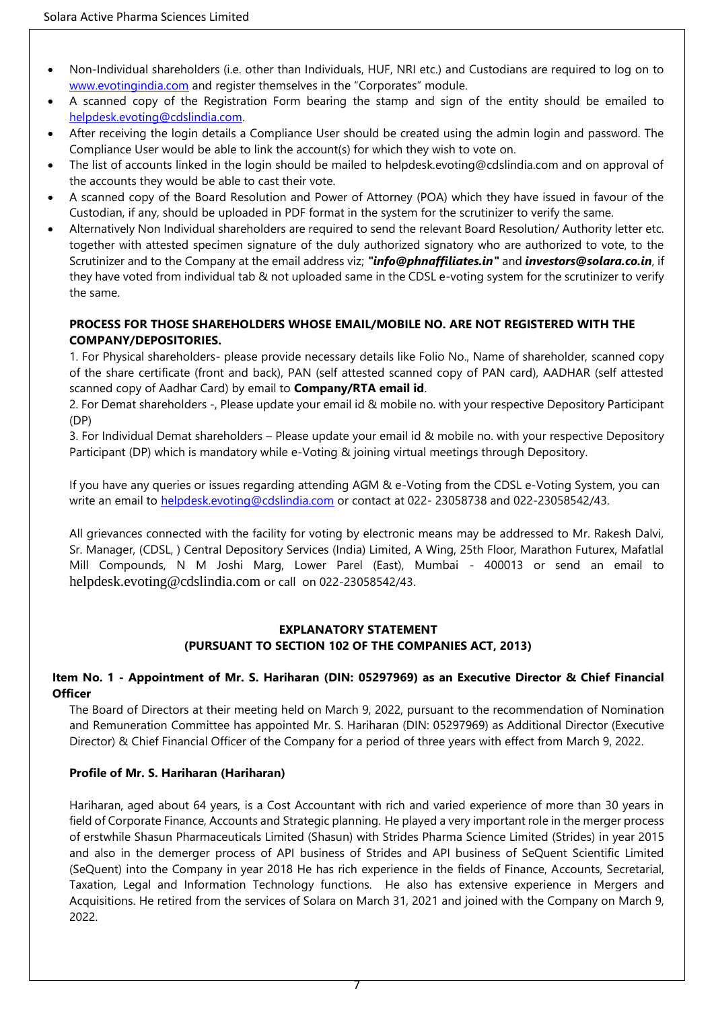- Non-Individual shareholders (i.e. other than Individuals, HUF, NRI etc.) and Custodians are required to log on to [www.evotingindia.com](http://www.evotingindia.com/) and register themselves in the "Corporates" module.
- A scanned copy of the Registration Form bearing the stamp and sign of the entity should be emailed to [helpdesk.evoting@cdslindia.com.](mailto:helpdesk.evoting@cdslindia.com)
- After receiving the login details a Compliance User should be created using the admin login and password. The Compliance User would be able to link the account(s) for which they wish to vote on.
- The list of accounts linked in the login should be mailed to helpdesk.evoting@cdslindia.com and on approval of the accounts they would be able to cast their vote.
- A scanned copy of the Board Resolution and Power of Attorney (POA) which they have issued in favour of the Custodian, if any, should be uploaded in PDF format in the system for the scrutinizer to verify the same.
- Alternatively Non Individual shareholders are required to send the relevant Board Resolution/ Authority letter etc. together with attested specimen signature of the duly authorized signatory who are authorized to vote, to the Scrutinizer and to the Company at the email address viz; *"info@phnaffiliates.in"* and *investors@solara.co.in*, if they have voted from individual tab & not uploaded same in the CDSL e-voting system for the scrutinizer to verify the same.

## **PROCESS FOR THOSE SHAREHOLDERS WHOSE EMAIL/MOBILE NO. ARE NOT REGISTERED WITH THE COMPANY/DEPOSITORIES.**

1. For Physical shareholders- please provide necessary details like Folio No., Name of shareholder, scanned copy of the share certificate (front and back), PAN (self attested scanned copy of PAN card), AADHAR (self attested scanned copy of Aadhar Card) by email to **Company/RTA email id**.

2. For Demat shareholders -, Please update your email id & mobile no. with your respective Depository Participant (DP)

3. For Individual Demat shareholders – Please update your email id & mobile no. with your respective Depository Participant (DP) which is mandatory while e-Voting & joining virtual meetings through Depository.

If you have any queries or issues regarding attending AGM & e-Voting from the CDSL e-Voting System, you can write an email to [helpdesk.evoting@cdslindia.com](mailto:helpdesk.evoting@cdslindia.com) or contact at 022- 23058738 and 022-23058542/43.

All grievances connected with the facility for voting by electronic means may be addressed to Mr. Rakesh Dalvi, Sr. Manager, (CDSL, ) Central Depository Services (India) Limited, A Wing, 25th Floor, Marathon Futurex, Mafatlal Mill Compounds, N M Joshi Marg, Lower Parel (East), Mumbai - 400013 or send an email to [helpdesk.evoting@cdslindia.com](mailto:helpdesk.evoting@cdslindia.com) or call on 022-23058542/43.

## **EXPLANATORY STATEMENT (PURSUANT TO SECTION 102 OF THE COMPANIES ACT, 2013)**

## **Item No. 1 - Appointment of Mr. S. Hariharan (DIN: 05297969) as an Executive Director & Chief Financial Officer**

The Board of Directors at their meeting held on March 9, 2022, pursuant to the recommendation of Nomination and Remuneration Committee has appointed Mr. S. Hariharan (DIN: 05297969) as Additional Director (Executive Director) & Chief Financial Officer of the Company for a period of three years with effect from March 9, 2022.

## **Profile of Mr. S. Hariharan (Hariharan)**

Hariharan, aged about 64 years, is a Cost Accountant with rich and varied experience of more than 30 years in field of Corporate Finance, Accounts and Strategic planning. He played a very important role in the merger process of erstwhile Shasun Pharmaceuticals Limited (Shasun) with Strides Pharma Science Limited (Strides) in year 2015 and also in the demerger process of API business of Strides and API business of SeQuent Scientific Limited (SeQuent) into the Company in year 2018 He has rich experience in the fields of Finance, Accounts, Secretarial, Taxation, Legal and Information Technology functions. He also has extensive experience in Mergers and Acquisitions. He retired from the services of Solara on March 31, 2021 and joined with the Company on March 9, 2022.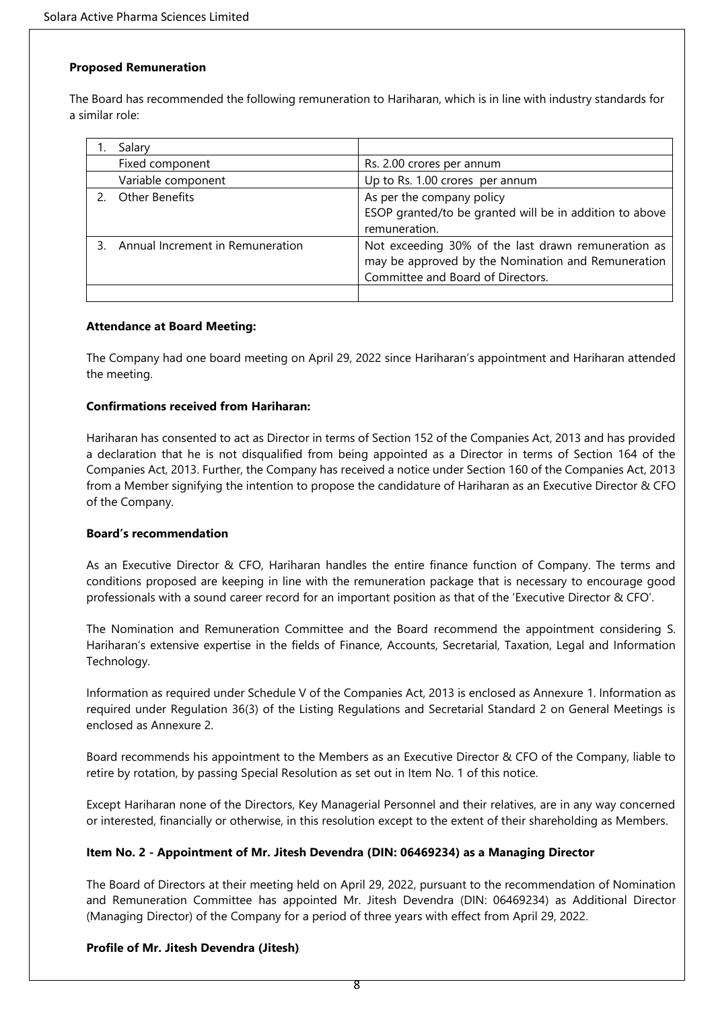### **Proposed Remuneration**

The Board has recommended the following remuneration to Hariharan, which is in line with industry standards for a similar role:

|                                  | Salary                |                                                                                                                                                |  |
|----------------------------------|-----------------------|------------------------------------------------------------------------------------------------------------------------------------------------|--|
| Fixed component                  |                       | Rs. 2.00 crores per annum                                                                                                                      |  |
|                                  | Variable component    | Up to Rs. 1.00 crores per annum                                                                                                                |  |
|                                  | <b>Other Benefits</b> | As per the company policy<br>ESOP granted/to be granted will be in addition to above<br>remuneration.                                          |  |
| Annual Increment in Remuneration |                       | Not exceeding 30% of the last drawn remuneration as<br>may be approved by the Nomination and Remuneration<br>Committee and Board of Directors. |  |
|                                  |                       |                                                                                                                                                |  |

### **Attendance at Board Meeting:**

The Company had one board meeting on April 29, 2022 since Hariharan's appointment and Hariharan attended the meeting.

## **Confirmations received from Hariharan:**

Hariharan has consented to act as Director in terms of Section 152 of the Companies Act, 2013 and has provided a declaration that he is not disqualified from being appointed as a Director in terms of Section 164 of the Companies Act, 2013. Further, the Company has received a notice under Section 160 of the Companies Act, 2013 from a Member signifying the intention to propose the candidature of Hariharan as an Executive Director & CFO of the Company.

### **Board's recommendation**

As an Executive Director & CFO, Hariharan handles the entire finance function of Company. The terms and conditions proposed are keeping in line with the remuneration package that is necessary to encourage good professionals with a sound career record for an important position as that of the 'Executive Director & CFO'.

The Nomination and Remuneration Committee and the Board recommend the appointment considering S. Hariharan's extensive expertise in the fields of Finance, Accounts, Secretarial, Taxation, Legal and Information Technology.

Information as required under Schedule V of the Companies Act, 2013 is enclosed as Annexure 1. Information as required under Regulation 36(3) of the Listing Regulations and Secretarial Standard 2 on General Meetings is enclosed as Annexure 2.

Board recommends his appointment to the Members as an Executive Director & CFO of the Company, liable to retire by rotation, by passing Special Resolution as set out in Item No. 1 of this notice.

Except Hariharan none of the Directors, Key Managerial Personnel and their relatives, are in any way concerned or interested, financially or otherwise, in this resolution except to the extent of their shareholding as Members.

## **Item No. 2 - Appointment of Mr. Jitesh Devendra (DIN: 06469234) as a Managing Director**

The Board of Directors at their meeting held on April 29, 2022, pursuant to the recommendation of Nomination and Remuneration Committee has appointed Mr. Jitesh Devendra (DIN: 06469234) as Additional Director (Managing Director) of the Company for a period of three years with effect from April 29, 2022.

## **Profile of Mr. Jitesh Devendra (Jitesh)**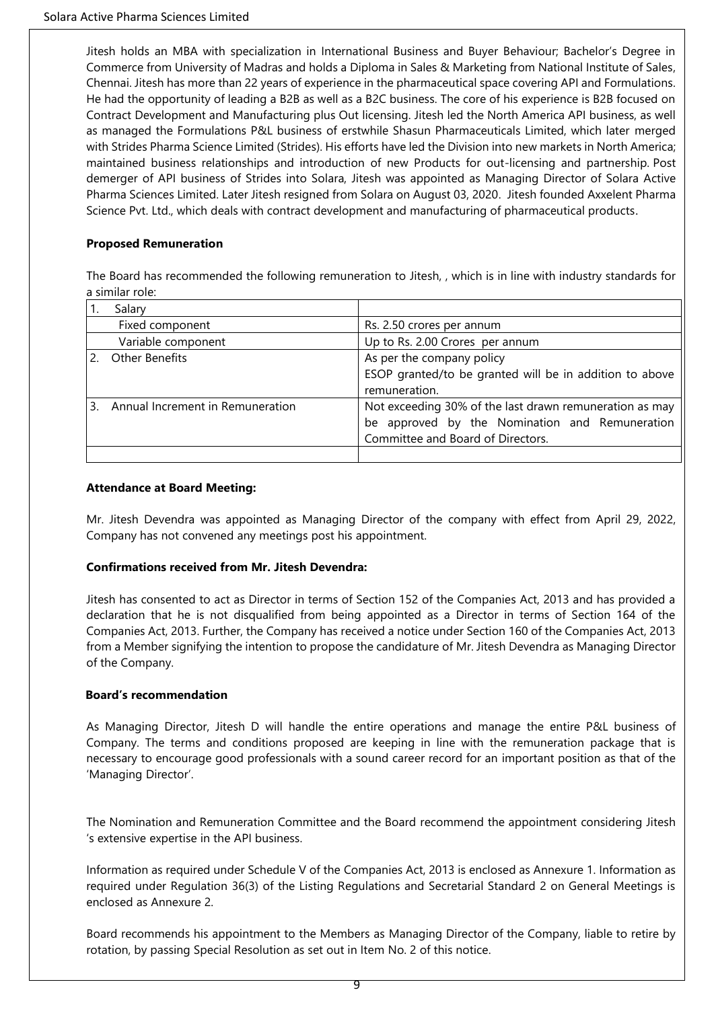Jitesh holds an MBA with specialization in International Business and Buyer Behaviour; Bachelor's Degree in Commerce from University of Madras and holds a Diploma in Sales & Marketing from National Institute of Sales, Chennai. Jitesh has more than 22 years of experience in the pharmaceutical space covering API and Formulations. He had the opportunity of leading a B2B as well as a B2C business. The core of his experience is B2B focused on Contract Development and Manufacturing plus Out licensing. Jitesh led the North America API business, as well as managed the Formulations P&L business of erstwhile Shasun Pharmaceuticals Limited, which later merged with Strides Pharma Science Limited (Strides). His efforts have led the Division into new markets in North America; maintained business relationships and introduction of new Products for out-licensing and partnership. Post demerger of API business of Strides into Solara, Jitesh was appointed as Managing Director of Solara Active Pharma Sciences Limited. Later Jitesh resigned from Solara on August 03, 2020. Jitesh founded Axxelent Pharma Science Pvt. Ltd., which deals with contract development and manufacturing of pharmaceutical products.

## **Proposed Remuneration**

The Board has recommended the following remuneration to Jitesh, , which is in line with industry standards for a similar role:

| Salary                                                |                                                                                                                                                |
|-------------------------------------------------------|------------------------------------------------------------------------------------------------------------------------------------------------|
| Fixed component                                       | Rs. 2.50 crores per annum                                                                                                                      |
| Variable component<br>Up to Rs. 2.00 Crores per annum |                                                                                                                                                |
| Other Benefits                                        | As per the company policy<br>ESOP granted/to be granted will be in addition to above<br>remuneration.                                          |
| Annual Increment in Remuneration                      | Not exceeding 30% of the last drawn remuneration as may<br>be approved by the Nomination and Remuneration<br>Committee and Board of Directors. |

### **Attendance at Board Meeting:**

Mr. Jitesh Devendra was appointed as Managing Director of the company with effect from April 29, 2022, Company has not convened any meetings post his appointment.

### **Confirmations received from Mr. Jitesh Devendra:**

Jitesh has consented to act as Director in terms of Section 152 of the Companies Act, 2013 and has provided a declaration that he is not disqualified from being appointed as a Director in terms of Section 164 of the Companies Act, 2013. Further, the Company has received a notice under Section 160 of the Companies Act, 2013 from a Member signifying the intention to propose the candidature of Mr. Jitesh Devendra as Managing Director of the Company.

### **Board's recommendation**

As Managing Director, Jitesh D will handle the entire operations and manage the entire P&L business of Company. The terms and conditions proposed are keeping in line with the remuneration package that is necessary to encourage good professionals with a sound career record for an important position as that of the 'Managing Director'.

The Nomination and Remuneration Committee and the Board recommend the appointment considering Jitesh 's extensive expertise in the API business.

Information as required under Schedule V of the Companies Act, 2013 is enclosed as Annexure 1. Information as required under Regulation 36(3) of the Listing Regulations and Secretarial Standard 2 on General Meetings is enclosed as Annexure 2.

Board recommends his appointment to the Members as Managing Director of the Company, liable to retire by rotation, by passing Special Resolution as set out in Item No. 2 of this notice.

9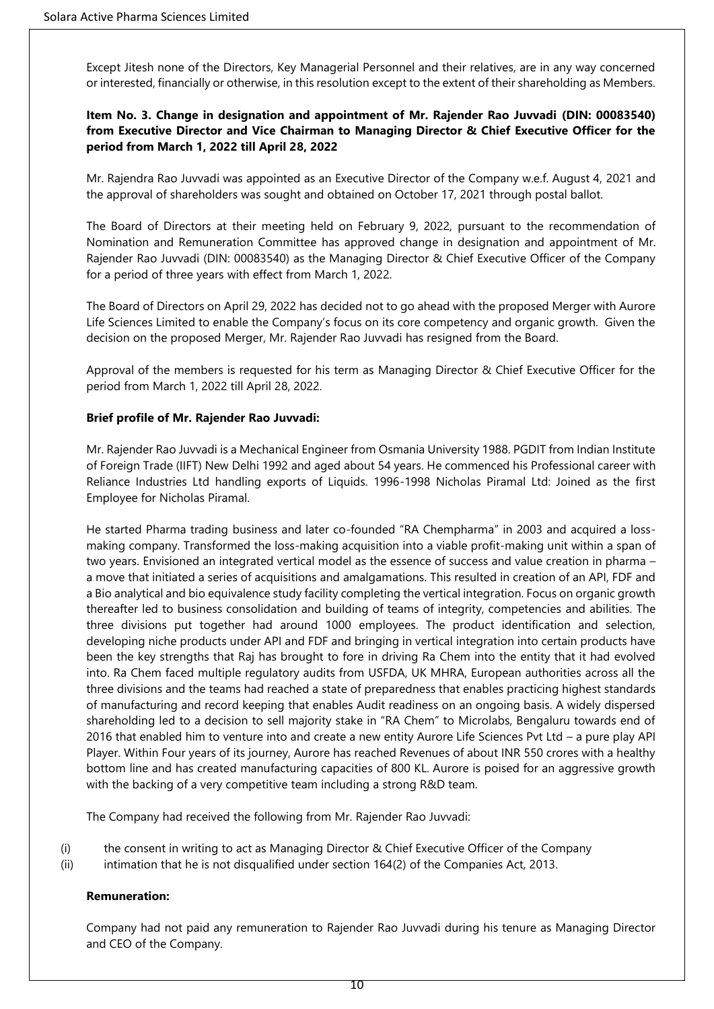Except Jitesh none of the Directors, Key Managerial Personnel and their relatives, are in any way concerned or interested, financially or otherwise, in this resolution except to the extent of their shareholding as Members.

## **Item No. 3. Change in designation and appointment of Mr. Rajender Rao Juvvadi (DIN: 00083540) from Executive Director and Vice Chairman to Managing Director & Chief Executive Officer for the period from March 1, 2022 till April 28, 2022**

Mr. Rajendra Rao Juvvadi was appointed as an Executive Director of the Company w.e.f. August 4, 2021 and the approval of shareholders was sought and obtained on October 17, 2021 through postal ballot.

The Board of Directors at their meeting held on February 9, 2022, pursuant to the recommendation of Nomination and Remuneration Committee has approved change in designation and appointment of Mr. Rajender Rao Juvvadi (DIN: 00083540) as the Managing Director & Chief Executive Officer of the Company for a period of three years with effect from March 1, 2022.

The Board of Directors on April 29, 2022 has decided not to go ahead with the proposed Merger with Aurore Life Sciences Limited to enable the Company's focus on its core competency and organic growth. Given the decision on the proposed Merger, Mr. Rajender Rao Juvvadi has resigned from the Board.

Approval of the members is requested for his term as Managing Director & Chief Executive Officer for the period from March 1, 2022 till April 28, 2022.

## **Brief profile of Mr. Rajender Rao Juvvadi:**

Mr. Rajender Rao Juvvadi is a Mechanical Engineer from Osmania University 1988. PGDIT from Indian Institute of Foreign Trade (IIFT) New Delhi 1992 and aged about 54 years. He commenced his Professional career with Reliance Industries Ltd handling exports of Liquids. 1996-1998 Nicholas Piramal Ltd: Joined as the first Employee for Nicholas Piramal.

He started Pharma trading business and later co-founded "RA Chempharma" in 2003 and acquired a lossmaking company. Transformed the loss-making acquisition into a viable profit-making unit within a span of two years. Envisioned an integrated vertical model as the essence of success and value creation in pharma – a move that initiated a series of acquisitions and amalgamations. This resulted in creation of an API, FDF and a Bio analytical and bio equivalence study facility completing the vertical integration. Focus on organic growth thereafter led to business consolidation and building of teams of integrity, competencies and abilities. The three divisions put together had around 1000 employees. The product identification and selection, developing niche products under API and FDF and bringing in vertical integration into certain products have been the key strengths that Raj has brought to fore in driving Ra Chem into the entity that it had evolved into. Ra Chem faced multiple regulatory audits from USFDA, UK MHRA, European authorities across all the three divisions and the teams had reached a state of preparedness that enables practicing highest standards of manufacturing and record keeping that enables Audit readiness on an ongoing basis. A widely dispersed shareholding led to a decision to sell majority stake in "RA Chem" to Microlabs, Bengaluru towards end of 2016 that enabled him to venture into and create a new entity Aurore Life Sciences Pvt Ltd – a pure play API Player. Within Four years of its journey, Aurore has reached Revenues of about INR 550 crores with a healthy bottom line and has created manufacturing capacities of 800 KL. Aurore is poised for an aggressive growth with the backing of a very competitive team including a strong R&D team.

The Company had received the following from Mr. Rajender Rao Juvvadi:

- (i) the consent in writing to act as Managing Director & Chief Executive Officer of the Company
- (ii) intimation that he is not disqualified under section 164(2) of the Companies Act, 2013.

### **Remuneration:**

Company had not paid any remuneration to Rajender Rao Juvvadi during his tenure as Managing Director and CEO of the Company.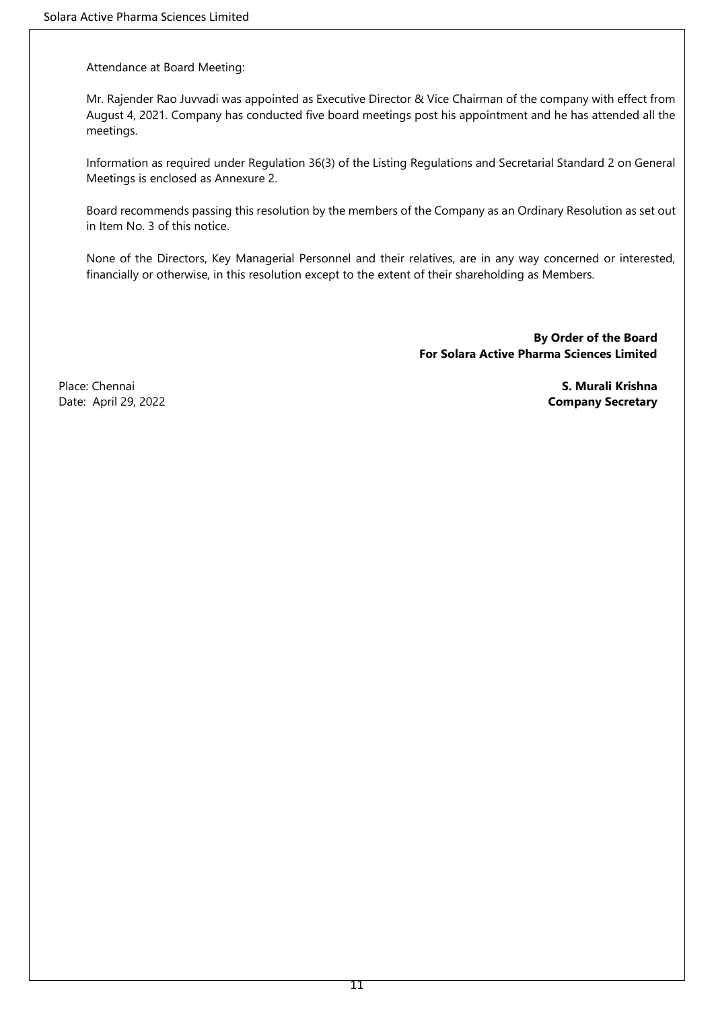Attendance at Board Meeting:

Mr. Rajender Rao Juvvadi was appointed as Executive Director & Vice Chairman of the company with effect from August 4, 2021. Company has conducted five board meetings post his appointment and he has attended all the meetings.

Information as required under Regulation 36(3) of the Listing Regulations and Secretarial Standard 2 on General Meetings is enclosed as Annexure 2.

Board recommends passing this resolution by the members of the Company as an Ordinary Resolution as set out in Item No. 3 of this notice.

None of the Directors, Key Managerial Personnel and their relatives, are in any way concerned or interested, financially or otherwise, in this resolution except to the extent of their shareholding as Members.

> **By Order of the Board For Solara Active Pharma Sciences Limited**

Place: Chennai **S. Murali Krishna** Date: April 29, 2022 **Company Secretary**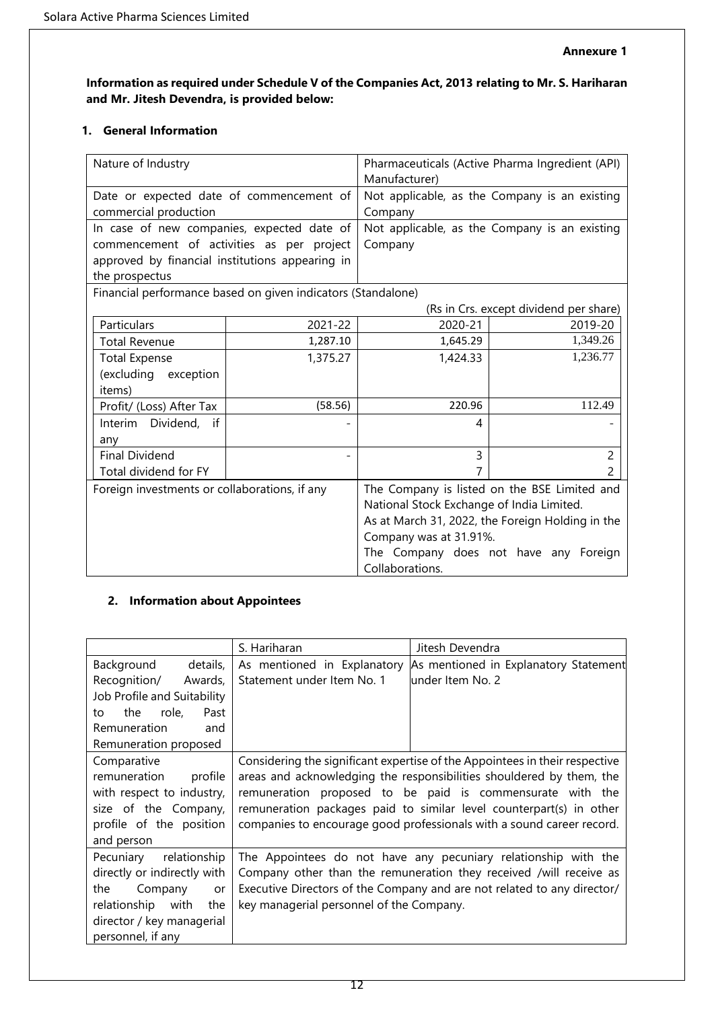# **Information as required under Schedule V of the Companies Act, 2013 relating to Mr. S. Hariharan and Mr. Jitesh Devendra, is provided below:**

# **1. General Information**

| Nature of Industry                                                                                                                                           |          | Manufacturer)                                                                          | Pharmaceuticals (Active Pharma Ingredient (API)                                                                                           |
|--------------------------------------------------------------------------------------------------------------------------------------------------------------|----------|----------------------------------------------------------------------------------------|-------------------------------------------------------------------------------------------------------------------------------------------|
| Date or expected date of commencement of<br>commercial production                                                                                            |          | Company                                                                                | Not applicable, as the Company is an existing                                                                                             |
| In case of new companies, expected date of<br>commencement of activities as per project<br>approved by financial institutions appearing in<br>the prospectus |          | Company                                                                                | Not applicable, as the Company is an existing                                                                                             |
| Financial performance based on given indicators (Standalone)                                                                                                 |          |                                                                                        | (Rs in Crs. except dividend per share)                                                                                                    |
| Particulars                                                                                                                                                  | 2021-22  | 2020-21                                                                                | 2019-20                                                                                                                                   |
| <b>Total Revenue</b>                                                                                                                                         | 1,287.10 | 1,645.29                                                                               | 1,349.26                                                                                                                                  |
| <b>Total Expense</b>                                                                                                                                         | 1,375.27 | 1,424.33                                                                               | 1,236.77                                                                                                                                  |
| (excluding exception                                                                                                                                         |          |                                                                                        |                                                                                                                                           |
| items)                                                                                                                                                       | (58.56)  | 220.96                                                                                 | 112.49                                                                                                                                    |
| Profit/ (Loss) After Tax                                                                                                                                     |          |                                                                                        |                                                                                                                                           |
| Interim Dividend, if<br>any                                                                                                                                  |          | 4                                                                                      |                                                                                                                                           |
| <b>Final Dividend</b>                                                                                                                                        |          | 3                                                                                      | 2                                                                                                                                         |
| Total dividend for FY                                                                                                                                        |          |                                                                                        | 2                                                                                                                                         |
| Foreign investments or collaborations, if any                                                                                                                |          | National Stock Exchange of India Limited.<br>Company was at 31.91%.<br>Collaborations. | The Company is listed on the BSE Limited and<br>As at March 31, 2022, the Foreign Holding in the<br>The Company does not have any Foreign |

# **2. Information about Appointees**

|                             | S. Hariharan                                                                | Jitesh Devendra                                                |  |
|-----------------------------|-----------------------------------------------------------------------------|----------------------------------------------------------------|--|
| details,<br>Background      | As mentioned in Explanatory                                                 | As mentioned in Explanatory Statement                          |  |
| Recognition/ Awards,        | Statement under Item No. 1                                                  | lunder Item No. 2                                              |  |
| Job Profile and Suitability |                                                                             |                                                                |  |
| role,<br>the<br>Past<br>to  |                                                                             |                                                                |  |
| Remuneration<br>and         |                                                                             |                                                                |  |
| Remuneration proposed       |                                                                             |                                                                |  |
| Comparative                 | Considering the significant expertise of the Appointees in their respective |                                                                |  |
| remuneration<br>profile     | areas and acknowledging the responsibilities shouldered by them, the        |                                                                |  |
| with respect to industry,   | remuneration proposed to be paid is commensurate with the                   |                                                                |  |
| size of the Company,        | remuneration packages paid to similar level counterpart(s) in other         |                                                                |  |
| profile of the position     | companies to encourage good professionals with a sound career record.       |                                                                |  |
| and person                  |                                                                             |                                                                |  |
| Pecuniary relationship      |                                                                             | The Appointees do not have any pecuniary relationship with the |  |
| directly or indirectly with | Company other than the remuneration they received /will receive as          |                                                                |  |
| the<br>Company<br>or        | Executive Directors of the Company and are not related to any director/     |                                                                |  |
| the<br>relationship with    | key managerial personnel of the Company.                                    |                                                                |  |
| director / key managerial   |                                                                             |                                                                |  |
| personnel, if any           |                                                                             |                                                                |  |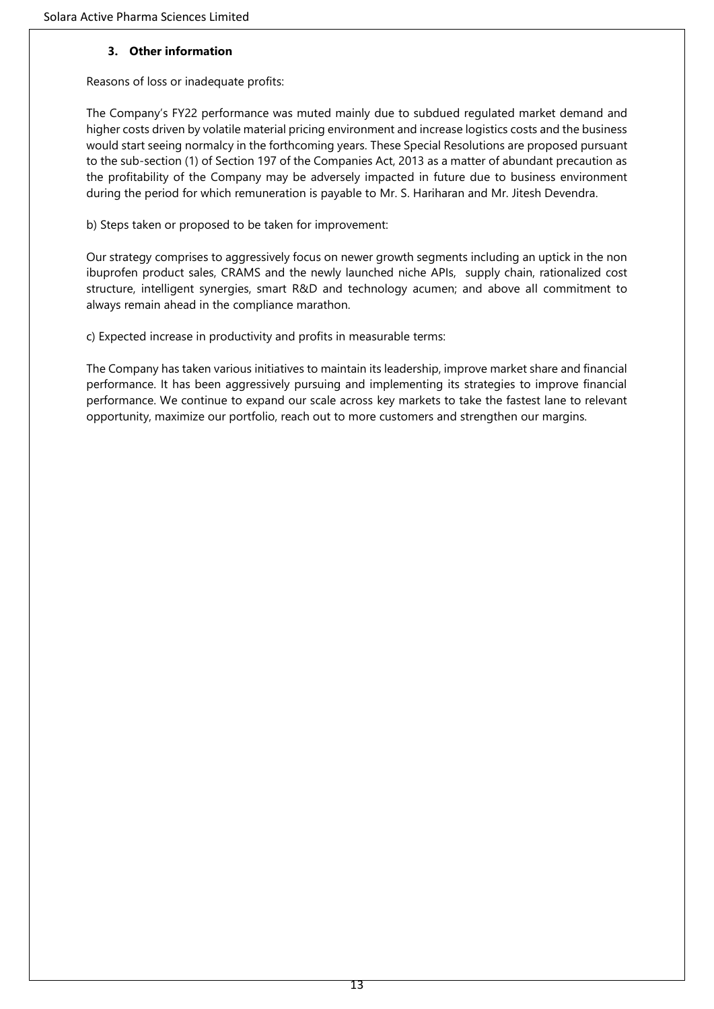## **3. Other information**

Reasons of loss or inadequate profits:

The Company's FY22 performance was muted mainly due to subdued regulated market demand and higher costs driven by volatile material pricing environment and increase logistics costs and the business would start seeing normalcy in the forthcoming years. These Special Resolutions are proposed pursuant to the sub-section (1) of Section 197 of the Companies Act, 2013 as a matter of abundant precaution as the profitability of the Company may be adversely impacted in future due to business environment during the period for which remuneration is payable to Mr. S. Hariharan and Mr. Jitesh Devendra.

b) Steps taken or proposed to be taken for improvement:

Our strategy comprises to aggressively focus on newer growth segments including an uptick in the non ibuprofen product sales, CRAMS and the newly launched niche APIs, supply chain, rationalized cost structure, intelligent synergies, smart R&D and technology acumen; and above all commitment to always remain ahead in the compliance marathon.

c) Expected increase in productivity and profits in measurable terms:

The Company has taken various initiatives to maintain its leadership, improve market share and financial performance. It has been aggressively pursuing and implementing its strategies to improve financial performance. We continue to expand our scale across key markets to take the fastest lane to relevant opportunity, maximize our portfolio, reach out to more customers and strengthen our margins.